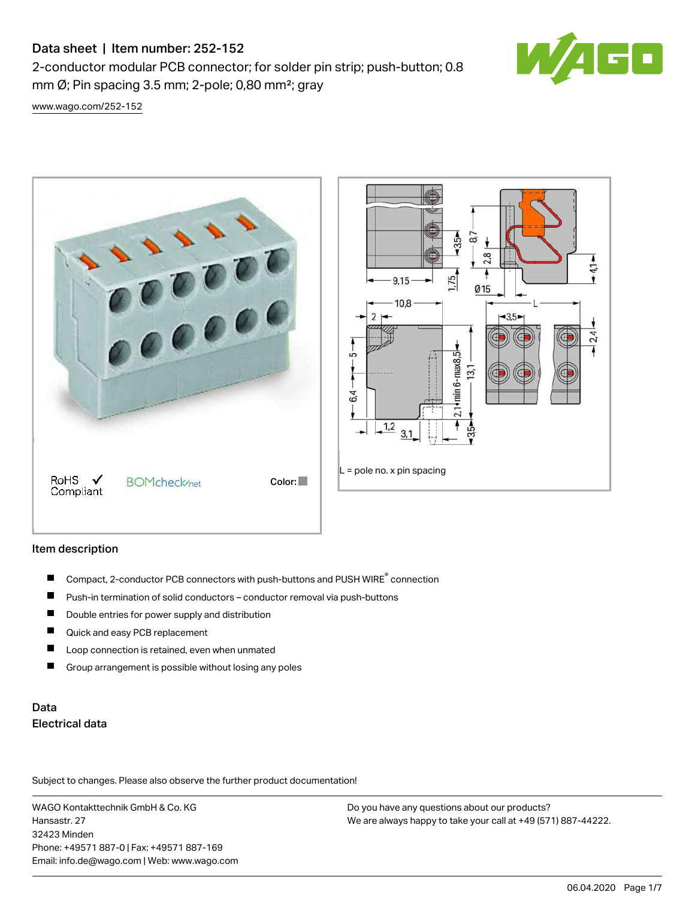# Data sheet | Item number: 252-152

2-conductor modular PCB connector; for solder pin strip; push-button; 0.8 mm  $\varnothing$ ; Pin spacing 3.5 mm; 2-pole; 0,80 mm<sup>2</sup>; gray



[www.wago.com/252-152](http://www.wago.com/252-152)



## Item description

- Compact, 2-conductor PCB connectors with push-buttons and PUSH WIRE<sup>®</sup> connection  $\blacksquare$
- Push-in termination of solid conductors conductor removal via push-buttons П
- П Double entries for power supply and distribution
- $\blacksquare$ Quick and easy PCB replacement
- $\blacksquare$ Loop connection is retained, even when unmated
- П Group arrangement is possible without losing any poles

# Data Electrical data

Subject to changes. Please also observe the further product documentation!

WAGO Kontakttechnik GmbH & Co. KG Hansastr. 27 32423 Minden Phone: +49571 887-0 | Fax: +49571 887-169 Email: info.de@wago.com | Web: www.wago.com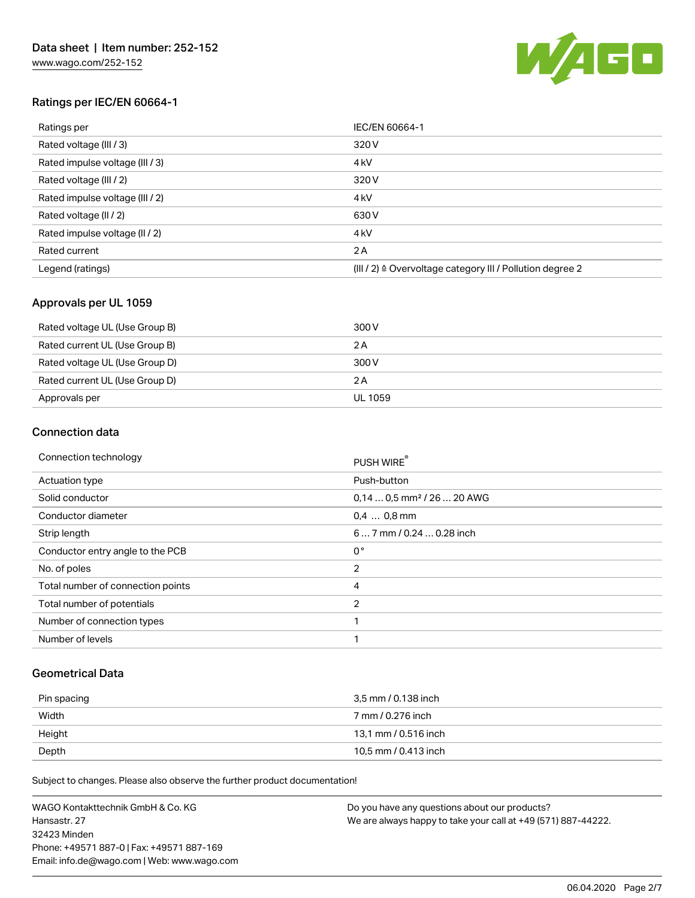

# Ratings per IEC/EN 60664-1

| Ratings per                     | IEC/EN 60664-1                                            |
|---------------------------------|-----------------------------------------------------------|
| Rated voltage (III / 3)         | 320 V                                                     |
| Rated impulse voltage (III / 3) | 4 <sub>kV</sub>                                           |
| Rated voltage (III / 2)         | 320 V                                                     |
| Rated impulse voltage (III / 2) | 4 <sub>kV</sub>                                           |
| Rated voltage (II / 2)          | 630 V                                                     |
| Rated impulse voltage (II / 2)  | 4 <sub>k</sub> V                                          |
| Rated current                   | 2 A                                                       |
| Legend (ratings)                | (III / 2) ≙ Overvoltage category III / Pollution degree 2 |

# Approvals per UL 1059

| Rated voltage UL (Use Group B) | 300 V   |
|--------------------------------|---------|
| Rated current UL (Use Group B) | 2 A     |
| Rated voltage UL (Use Group D) | 300 V   |
| Rated current UL (Use Group D) | 2 A     |
| Approvals per                  | UL 1059 |

## Connection data

| Connection technology             | PUSH WIRE®                             |
|-----------------------------------|----------------------------------------|
| <b>Actuation type</b>             | Push-button                            |
| Solid conductor                   | $0.140.5$ mm <sup>2</sup> / 26  20 AWG |
| Conductor diameter                | $0,4$ 0,8 mm                           |
| Strip length                      | 6  7 mm / 0.24  0.28 inch              |
| Conductor entry angle to the PCB  | 0°                                     |
| No. of poles                      | $\overline{2}$                         |
| Total number of connection points | 4                                      |
| Total number of potentials        | $\overline{2}$                         |
| Number of connection types        |                                        |
| Number of levels                  |                                        |

### Geometrical Data

| Pin spacing | 3.5 mm / 0.138 inch  |
|-------------|----------------------|
| Width       | 7 mm / 0.276 inch    |
| Height      | 13.1 mm / 0.516 inch |
| Depth       | 10,5 mm / 0.413 inch |

Subject to changes. Please also observe the further product documentation!

WAGO Kontakttechnik GmbH & Co. KG Hansastr. 27 32423 Minden Phone: +49571 887-0 | Fax: +49571 887-169 Email: info.de@wago.com | Web: www.wago.com Do you have any questions about our products? We are always happy to take your call at +49 (571) 887-44222.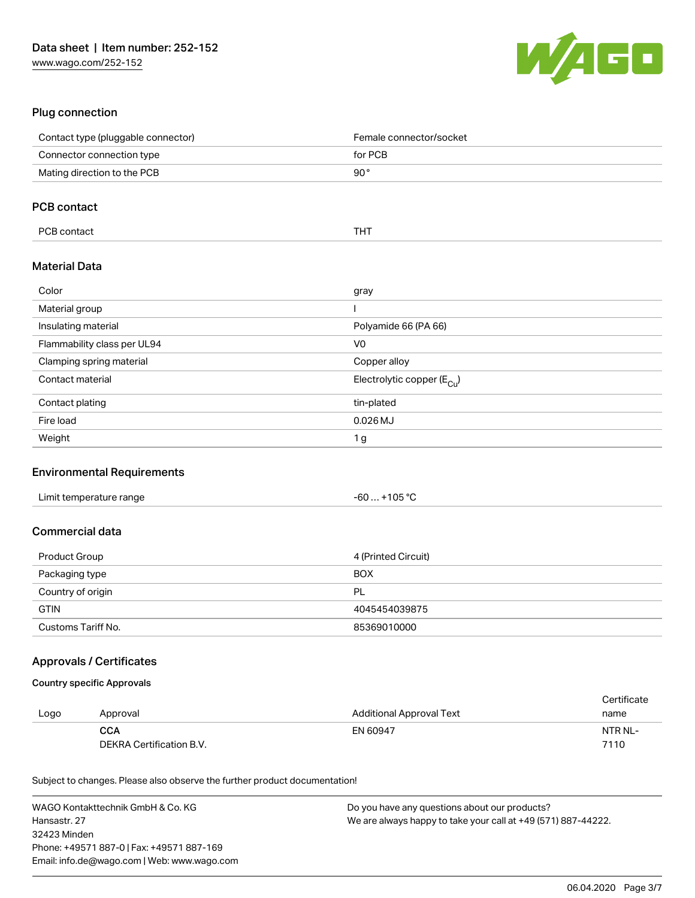

# Plug connection

| Contact type (pluggable connector) | Female connector/socket                |
|------------------------------------|----------------------------------------|
| Connector connection type          | for PCB                                |
| Mating direction to the PCB        | $90^{\circ}$                           |
|                                    |                                        |
| <b>PCB contact</b>                 |                                        |
| PCB contact                        | <b>THT</b>                             |
| <b>Material Data</b>               |                                        |
| Color                              | gray                                   |
| Material group                     |                                        |
| Insulating material                | Polyamide 66 (PA 66)                   |
| Flammability class per UL94        | V <sub>0</sub>                         |
| Clamping spring material           | Copper alloy                           |
| Contact material                   | Electrolytic copper (E <sub>Cu</sub> ) |
| Contact plating                    | tin-plated                             |
| Fire load                          | 0.026 MJ                               |
| Weight                             | 1 <sub>g</sub>                         |

### Environmental Requirements

| Limit temperature range | . +105 °C<br>-60 |
|-------------------------|------------------|
|-------------------------|------------------|

# Commercial data

| Product Group      | 4 (Printed Circuit) |
|--------------------|---------------------|
| Packaging type     | <b>BOX</b>          |
| Country of origin  | -PL                 |
| <b>GTIN</b>        | 4045454039875       |
| Customs Tariff No. | 85369010000         |

# Approvals / Certificates

#### Country specific Approvals

|      |                          |                          | Certificate |
|------|--------------------------|--------------------------|-------------|
| Logo | Approval                 | Additional Approval Text | name        |
|      | <b>CCA</b>               | EN 60947                 | NTR NL-     |
|      | DEKRA Certification B.V. |                          | 7110        |

Subject to changes. Please also observe the further product documentation!

| WAGO Kontakttechnik GmbH & Co. KG           | Do you have any questions about our products?                 |
|---------------------------------------------|---------------------------------------------------------------|
| Hansastr. 27                                | We are always happy to take your call at +49 (571) 887-44222. |
| 32423 Minden                                |                                                               |
| Phone: +49571 887-01 Fax: +49571 887-169    |                                                               |
| Email: info.de@wago.com   Web: www.wago.com |                                                               |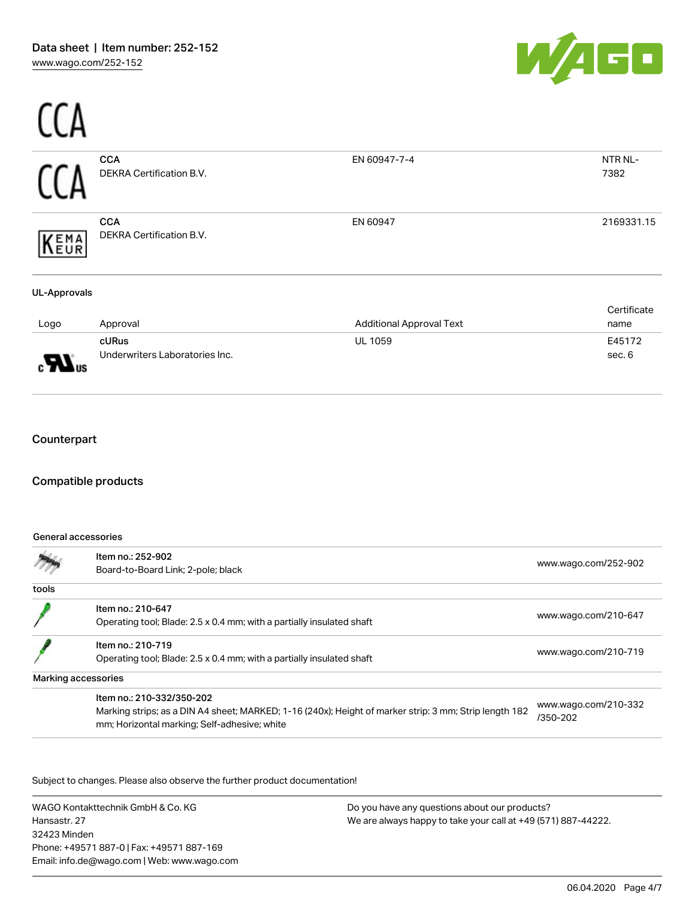

|                          | <b>CCA</b><br>DEKRA Certification B.V.        | EN 60947-7-4                    | NTR NL-<br>7382     |
|--------------------------|-----------------------------------------------|---------------------------------|---------------------|
| KEMA                     | <b>CCA</b><br><b>DEKRA Certification B.V.</b> | EN 60947                        | 2169331.15          |
| <b>UL-Approvals</b>      |                                               |                                 |                     |
| Logo                     | Approval                                      | <b>Additional Approval Text</b> | Certificate<br>name |
|                          | cURus                                         | UL 1059                         | E45172              |
| $\mathbf{M}_{\text{us}}$ | Underwriters Laboratories Inc.                |                                 | sec. 6              |

## **Counterpart**

 $\sim$ 

### Compatible products

#### General accessories

|                     | Item no.: 252-902<br>Board-to-Board Link; 2-pole; black                                                                                                                             | www.wago.com/252-902             |
|---------------------|-------------------------------------------------------------------------------------------------------------------------------------------------------------------------------------|----------------------------------|
| tools               |                                                                                                                                                                                     |                                  |
|                     | Item no.: 210-647<br>Operating tool; Blade: 2.5 x 0.4 mm; with a partially insulated shaft                                                                                          | www.wago.com/210-647             |
|                     | Item no.: 210-719<br>Operating tool; Blade: 2.5 x 0.4 mm; with a partially insulated shaft                                                                                          | www.wago.com/210-719             |
| Marking accessories |                                                                                                                                                                                     |                                  |
|                     | Item no.: 210-332/350-202<br>Marking strips; as a DIN A4 sheet; MARKED; 1-16 (240x); Height of marker strip: 3 mm; Strip length 182<br>mm; Horizontal marking; Self-adhesive; white | www.wago.com/210-332<br>/350-202 |

Subject to changes. Please also observe the further product documentation!

WAGO Kontakttechnik GmbH & Co. KG Hansastr. 27 32423 Minden Phone: +49571 887-0 | Fax: +49571 887-169 Email: info.de@wago.com | Web: www.wago.com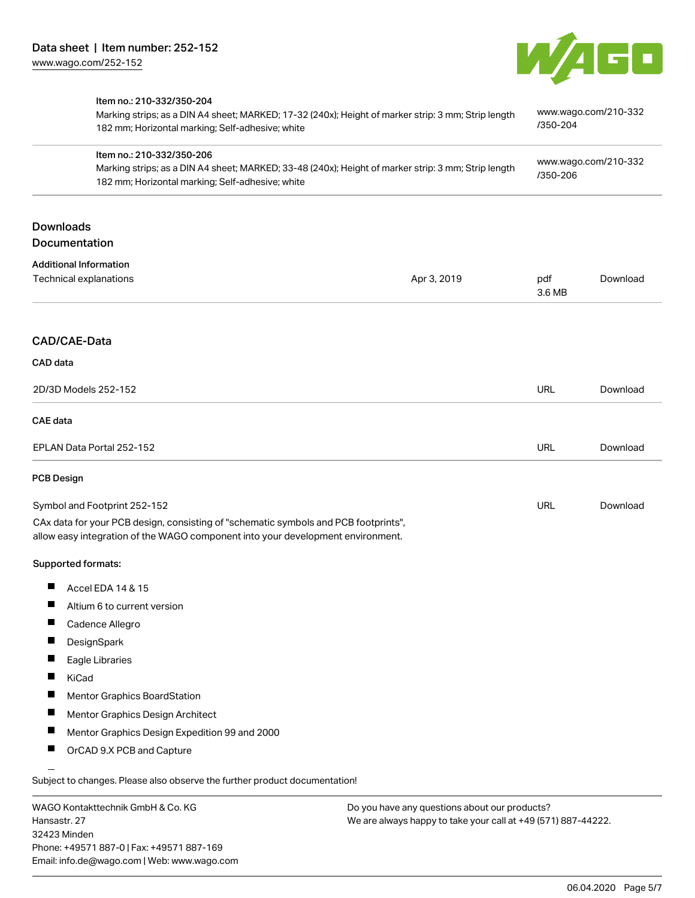

| Item no.: 210-332/350-204<br>Marking strips; as a DIN A4 sheet; MARKED; 17-32 (240x); Height of marker strip: 3 mm; Strip length<br>182 mm; Horizontal marking; Self-adhesive; white<br>Item no.: 210-332/350-206<br>Marking strips; as a DIN A4 sheet; MARKED; 33-48 (240x); Height of marker strip: 3 mm; Strip length<br>182 mm; Horizontal marking; Self-adhesive; white |             | www.wago.com/210-332<br>/350-204<br>www.wago.com/210-332<br>/350-206 |          |
|------------------------------------------------------------------------------------------------------------------------------------------------------------------------------------------------------------------------------------------------------------------------------------------------------------------------------------------------------------------------------|-------------|----------------------------------------------------------------------|----------|
|                                                                                                                                                                                                                                                                                                                                                                              |             |                                                                      |          |
| <b>Additional Information</b><br>Technical explanations                                                                                                                                                                                                                                                                                                                      | Apr 3, 2019 | pdf                                                                  | Download |
|                                                                                                                                                                                                                                                                                                                                                                              |             | 3.6 MB                                                               |          |
| CAD/CAE-Data                                                                                                                                                                                                                                                                                                                                                                 |             |                                                                      |          |
| CAD data                                                                                                                                                                                                                                                                                                                                                                     |             |                                                                      |          |
| 2D/3D Models 252-152                                                                                                                                                                                                                                                                                                                                                         |             | <b>URL</b>                                                           | Download |
| <b>CAE</b> data                                                                                                                                                                                                                                                                                                                                                              |             |                                                                      |          |
| EPLAN Data Portal 252-152                                                                                                                                                                                                                                                                                                                                                    |             | <b>URL</b>                                                           | Download |
| <b>PCB Design</b>                                                                                                                                                                                                                                                                                                                                                            |             |                                                                      |          |
| Symbol and Footprint 252-152                                                                                                                                                                                                                                                                                                                                                 |             | <b>URL</b>                                                           | Download |
| CAx data for your PCB design, consisting of "schematic symbols and PCB footprints",<br>allow easy integration of the WAGO component into your development environment.                                                                                                                                                                                                       |             |                                                                      |          |
| Supported formats:                                                                                                                                                                                                                                                                                                                                                           |             |                                                                      |          |
| ш<br>Accel EDA 14 & 15                                                                                                                                                                                                                                                                                                                                                       |             |                                                                      |          |
| Altium 6 to current version                                                                                                                                                                                                                                                                                                                                                  |             |                                                                      |          |
| Cadence Allegro                                                                                                                                                                                                                                                                                                                                                              |             |                                                                      |          |
| DesignSpark                                                                                                                                                                                                                                                                                                                                                                  |             |                                                                      |          |
| Eagle Libraries                                                                                                                                                                                                                                                                                                                                                              |             |                                                                      |          |
| KiCad                                                                                                                                                                                                                                                                                                                                                                        |             |                                                                      |          |
| Mentor Graphics BoardStation<br>a ka                                                                                                                                                                                                                                                                                                                                         |             |                                                                      |          |
| Mentor Graphics Design Architect                                                                                                                                                                                                                                                                                                                                             |             |                                                                      |          |
| Mentor Graphics Design Expedition 99 and 2000                                                                                                                                                                                                                                                                                                                                |             |                                                                      |          |
| OrCAD 9.X PCB and Capture                                                                                                                                                                                                                                                                                                                                                    |             |                                                                      |          |
| Subject to changes. Please also observe the further product documentation!                                                                                                                                                                                                                                                                                                   |             |                                                                      |          |
|                                                                                                                                                                                                                                                                                                                                                                              |             |                                                                      |          |

WAGO Kontakttechnik GmbH & Co. KG Hansastr. 27 32423 Minden Phone: +49571 887-0 | Fax: +49571 887-169 Email: info.de@wago.com | Web: www.wago.com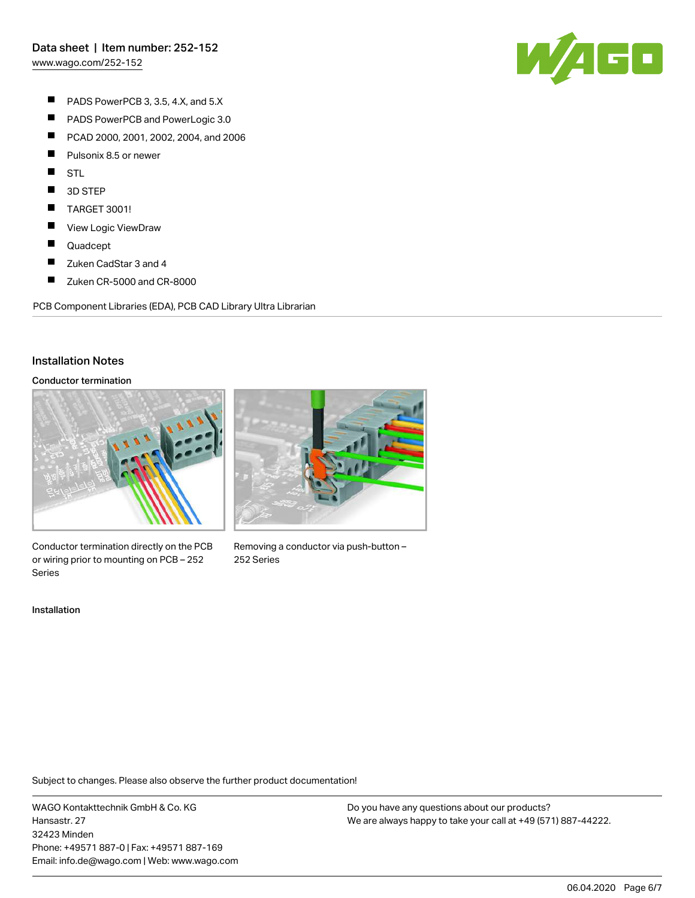[www.wago.com/252-152](http://www.wago.com/252-152)



- $\blacksquare$ PADS PowerPCB 3, 3.5, 4.X, and 5.X
- $\blacksquare$ PADS PowerPCB and PowerLogic 3.0
- $\blacksquare$ PCAD 2000, 2001, 2002, 2004, and 2006
- $\blacksquare$ Pulsonix 8.5 or newer
- $\blacksquare$ STL
- П 3D STEP
- $\blacksquare$ TARGET 3001!
- $\blacksquare$ View Logic ViewDraw
- $\blacksquare$ Quadcept
- $\blacksquare$ Zuken CadStar 3 and 4
- $\blacksquare$ Zuken CR-5000 and CR-8000

PCB Component Libraries (EDA), PCB CAD Library Ultra Librarian

### Installation Notes

#### Conductor termination



Conductor termination directly on the PCB or wiring prior to mounting on PCB – 252 Series

Installation



Removing a conductor via push-button – 252 Series

Subject to changes. Please also observe the further product documentation!

WAGO Kontakttechnik GmbH & Co. KG Hansastr. 27 32423 Minden Phone: +49571 887-0 | Fax: +49571 887-169 Email: info.de@wago.com | Web: www.wago.com